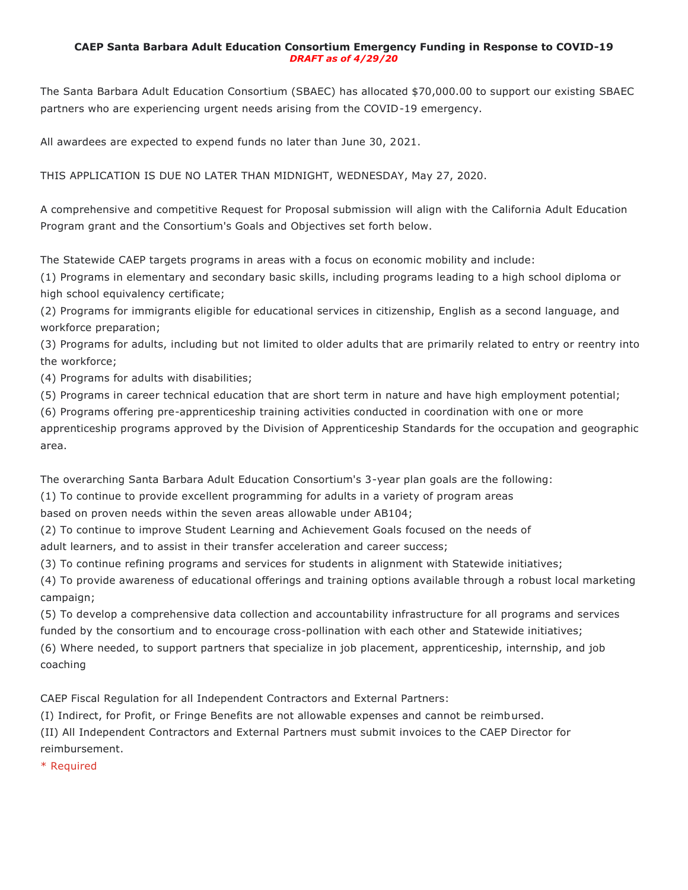### **CAEP Santa Barbara Adult Education Consortium Emergency Funding in Response to COVID-19** *DRAFT as of 4/29/20*

The Santa Barbara Adult Education Consortium (SBAEC) has allocated \$70,000.00 to support our existing SBAEC partners who are experiencing urgent needs arising from the COVID-19 emergency.

All awardees are expected to expend funds no later than June 30, 2021.

THIS APPLICATION IS DUE NO LATER THAN MIDNIGHT, WEDNESDAY, May 27, 2020.

A comprehensive and competitive Request for Proposal submission will align with the California Adult Education Program grant and the Consortium's Goals and Objectives set forth below.

The Statewide CAEP targets programs in areas with a focus on economic mobility and include:

(1) Programs in elementary and secondary basic skills, including programs leading to a high school diploma or high school equivalency certificate;

(2) Programs for immigrants eligible for educational services in citizenship, English as a second language, and workforce preparation;

(3) Programs for adults, including but not limited to older adults that are primarily related to entry or reentry into the workforce;

(4) Programs for adults with disabilities;

(5) Programs in career technical education that are short term in nature and have high employment potential;

(6) Programs offering pre-apprenticeship training activities conducted in coordination with one or more apprenticeship programs approved by the Division of Apprenticeship Standards for the occupation and geographic area.

The overarching Santa Barbara Adult Education Consortium's 3-year plan goals are the following:

(1) To continue to provide excellent programming for adults in a variety of program areas

based on proven needs within the seven areas allowable under AB104;

(2) To continue to improve Student Learning and Achievement Goals focused on the needs of

adult learners, and to assist in their transfer acceleration and career success;

(3) To continue refining programs and services for students in alignment with Statewide initiatives;

(4) To provide awareness of educational offerings and training options available through a robust local marketing campaign;

(5) To develop a comprehensive data collection and accountability infrastructure for all programs and services funded by the consortium and to encourage cross-pollination with each other and Statewide initiatives;

(6) Where needed, to support partners that specialize in job placement, apprenticeship, internship, and job coaching

CAEP Fiscal Regulation for all Independent Contractors and External Partners:

(I) Indirect, for Profit, or Fringe Benefits are not allowable expenses and cannot be reimbursed.

(II) All Independent Contractors and External Partners must submit invoices to the CAEP Director for reimbursement.

\* Required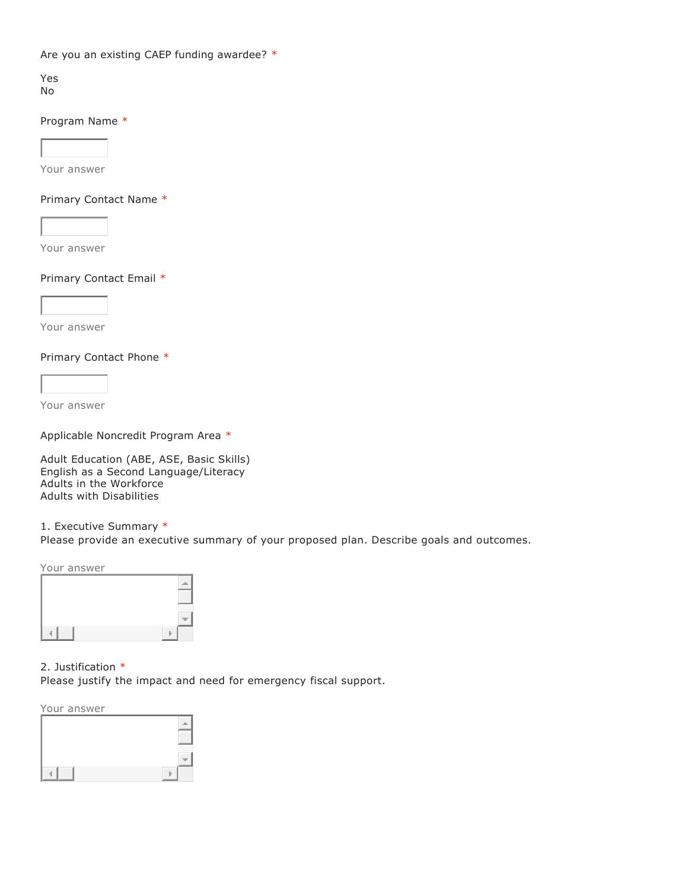Are you an existing CAEP funding awardee? \*

Yes No

# Program Name \*

Your answer

# Primary Contact Name \*

Your answer

### Primary Contact Email \*



Your answer

### Primary Contact Phone \*

Your answer

Applicable Noncredit Program Area \*

Adult Education (ABE, ASE, Basic Skills) English as a Second Language/Literacy Adults in the Workforce Adults with Disabilities

1. Executive Summary \* Please provide an executive summary of your proposed plan. Describe goals and outcomes.

Your answer



# 2. Justification \*

Please justify the impact and need for emergency fiscal support.

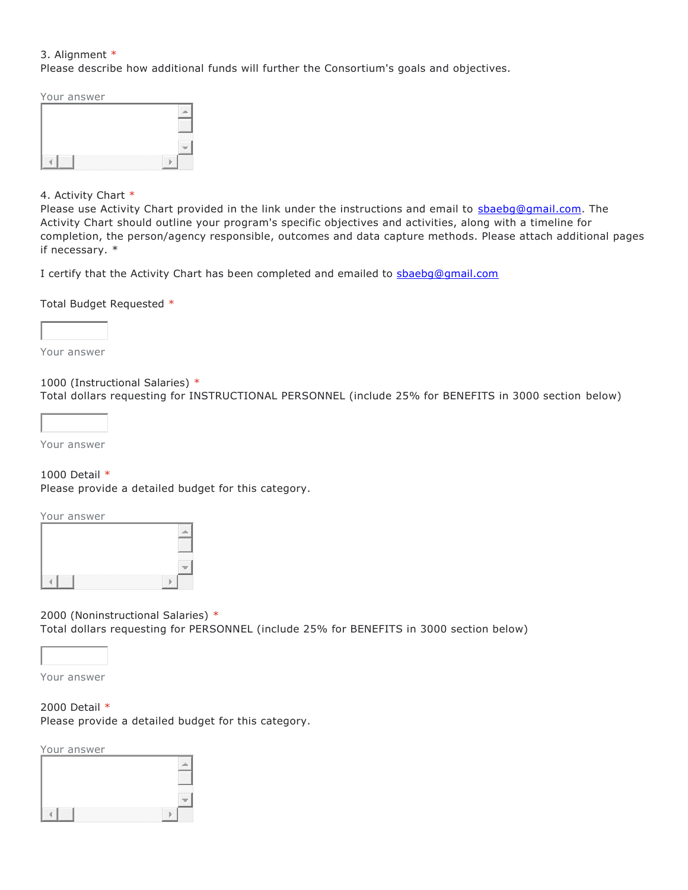# 3. Alignment \*

Please describe how additional funds will further the Consortium's goals and objectives.

Your answer



# 4. Activity Chart \*

Please use Activity Chart provided in the link under the instructions and email to [sbaebg@gmail.com.](mailto:sbaebg@gmail.com) The Activity Chart should outline your program's specific objectives and activities, along with a timeline for completion, the person/agency responsible, outcomes and data capture methods. Please attach additional pages if necessary. \*

I certify that the Activity Chart has been completed and emailed to [sbaebg@gmail.com](mailto:sbaebg@gmail.com)

Total Budget Requested \*



Your answer

### 1000 (Instructional Salaries) \*

Total dollars requesting for INSTRUCTIONAL PERSONNEL (include 25% for BENEFITS in 3000 section below)

Your answer

# 1000 Detail \*

Please provide a detailed budget for this category.

Your answer

| $\sim$ $\sim$ $\sim$<br>.<br>----- |
|------------------------------------|
|                                    |

2000 (Noninstructional Salaries) \* Total dollars requesting for PERSONNEL (include 25% for BENEFITS in 3000 section below)

Your answer

2000 Detail \* Please provide a detailed budget for this category.

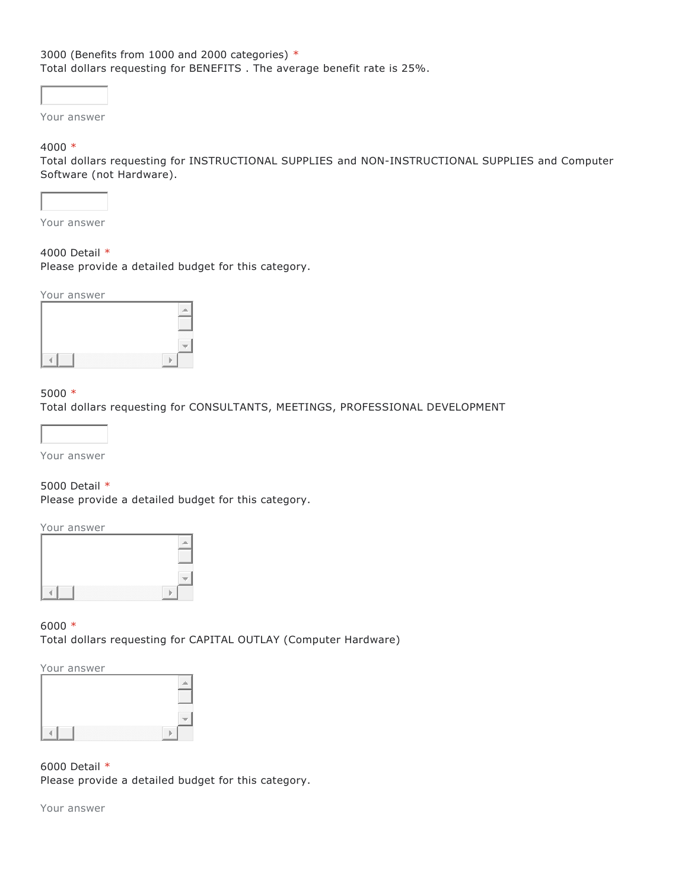# 3000 (Benefits from 1000 and 2000 categories) \* Total dollars requesting for BENEFITS . The average benefit rate is 25%.

Your answer

#### 4000 \*

Total dollars requesting for INSTRUCTIONAL SUPPLIES and NON-INSTRUCTIONAL SUPPLIES and Computer Software (not Hardware).



Your answer

# 4000 Detail \*

Please provide a detailed budget for this category.

Your answer



# $5000 *$

Total dollars requesting for CONSULTANTS, MEETINGS, PROFESSIONAL DEVELOPMENT



Your answer

#### 5000 Detail \*

Please provide a detailed budget for this category.

#### Your answer



6000 \* Total dollars requesting for CAPITAL OUTLAY (Computer Hardware)

# Your answer

6000 Detail \* Please provide a detailed budget for this category.